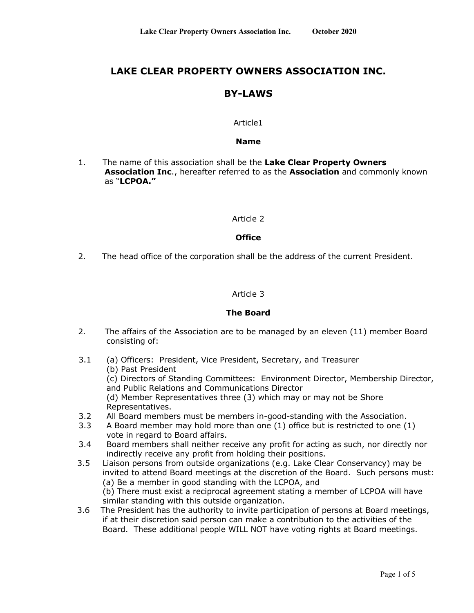# **LAKE CLEAR PROPERTY OWNERS ASSOCIATION INC.**

# **BY-LAWS**

# Article1

### **Name**

1. The name of this association shall be the **Lake Clear Property Owners Association Inc**., hereafter referred to as the **Association** and commonly known as "**LCPOA."**

### Article 2

### **Office**

2. The head office of the corporation shall be the address of the current President.

# Article 3

### **The Board**

- 2. The affairs of the Association are to be managed by an eleven (11) member Board consisting of:
- 3.1 (a) Officers: President, Vice President, Secretary, and Treasurer (b) Past President
	- (c) Directors of Standing Committees: Environment Director, Membership Director, and Public Relations and Communications Director
	- (d) Member Representatives three (3) which may or may not be Shore Representatives.
- 3.2 All Board members must be members in-good-standing with the Association.
- 3.3 A Board member may hold more than one (1) office but is restricted to one (1) vote in regard to Board affairs.
- 3.4 Board members shall neither receive any profit for acting as such, nor directly nor indirectly receive any profit from holding their positions.
- 3.5 Liaison persons from outside organizations (e.g. Lake Clear Conservancy) may be invited to attend Board meetings at the discretion of the Board. Such persons must: (a) Be a member in good standing with the LCPOA, and

(b) There must exist a reciprocal agreement stating a member of LCPOA will have similar standing with this outside organization.

 3.6 The President has the authority to invite participation of persons at Board meetings, if at their discretion said person can make a contribution to the activities of the Board. These additional people WILL NOT have voting rights at Board meetings.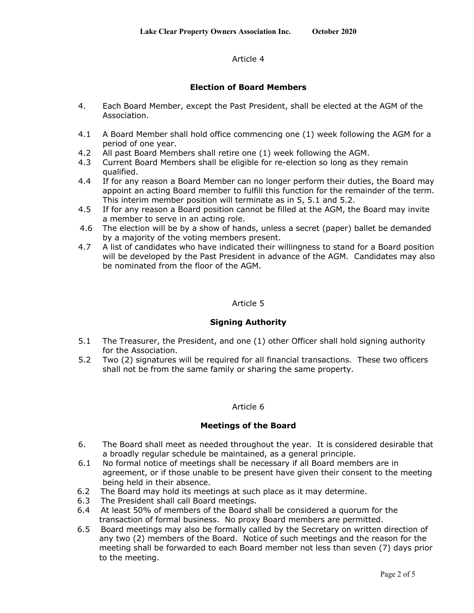# Article 4

# **Election of Board Members**

- 4. Each Board Member, except the Past President, shall be elected at the AGM of the Association.
- 4.1 A Board Member shall hold office commencing one (1) week following the AGM for a period of one year.
- 4.2 All past Board Members shall retire one (1) week following the AGM.
- 4.3 Current Board Members shall be eligible for re-election so long as they remain qualified.
- 4.4 If for any reason a Board Member can no longer perform their duties, the Board may appoint an acting Board member to fulfill this function for the remainder of the term. This interim member position will terminate as in 5, 5.1 and 5.2.
- 4.5 If for any reason a Board position cannot be filled at the AGM, the Board may invite a member to serve in an acting role.
- 4.6 The election will be by a show of hands, unless a secret (paper) ballet be demanded by a majority of the voting members present.
- 4.7 A list of candidates who have indicated their willingness to stand for a Board position will be developed by the Past President in advance of the AGM. Candidates may also be nominated from the floor of the AGM.

#### Article 5

### **Signing Authority**

- 5.1 The Treasurer, the President, and one (1) other Officer shall hold signing authority for the Association.
- 5.2 Two (2) signatures will be required for all financial transactions. These two officers shall not be from the same family or sharing the same property.

### Article 6

### **Meetings of the Board**

- 6. The Board shall meet as needed throughout the year. It is considered desirable that a broadly regular schedule be maintained, as a general principle.
- 6.1 No formal notice of meetings shall be necessary if all Board members are in agreement, or if those unable to be present have given their consent to the meeting being held in their absence.
- 6.2 The Board may hold its meetings at such place as it may determine.
- 6.3 The President shall call Board meetings.
- 6.4 At least 50% of members of the Board shall be considered a quorum for the transaction of formal business. No proxy Board members are permitted.
- 6.5 Board meetings may also be formally called by the Secretary on written direction of any two (2) members of the Board. Notice of such meetings and the reason for the meeting shall be forwarded to each Board member not less than seven (7) days prior to the meeting.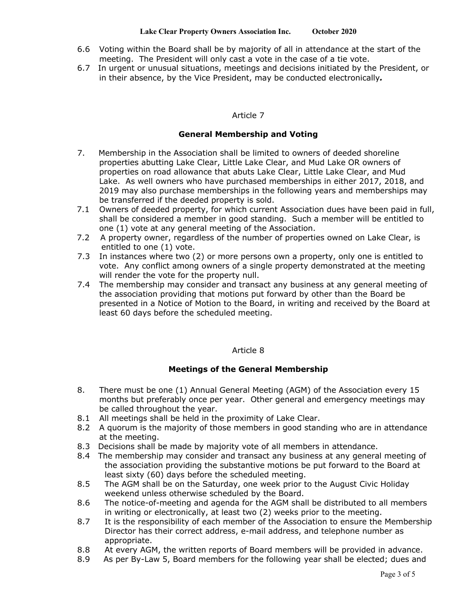- 6.6 Voting within the Board shall be by majority of all in attendance at the start of the meeting. The President will only cast a vote in the case of a tie vote.
- 6.7 In urgent or unusual situations, meetings and decisions initiated by the President, or in their absence, by the Vice President, may be conducted electronically*.*

# Article 7

# **General Membership and Voting**

- 7. Membership in the Association shall be limited to owners of deeded shoreline properties abutting Lake Clear, Little Lake Clear, and Mud Lake OR owners of properties on road allowance that abuts Lake Clear, Little Lake Clear, and Mud Lake. As well owners who have purchased memberships in either 2017, 2018, and 2019 may also purchase memberships in the following years and memberships may be transferred if the deeded property is sold.
- 7.1 Owners of deeded property, for which current Association dues have been paid in full, shall be considered a member in good standing. Such a member will be entitled to one (1) vote at any general meeting of the Association.
- 7.2 A property owner, regardless of the number of properties owned on Lake Clear, is entitled to one (1) vote.
- 7.3 In instances where two (2) or more persons own a property, only one is entitled to vote. Any conflict among owners of a single property demonstrated at the meeting will render the vote for the property null.
- 7.4 The membership may consider and transact any business at any general meeting of the association providing that motions put forward by other than the Board be presented in a Notice of Motion to the Board, in writing and received by the Board at least 60 days before the scheduled meeting.

### Article 8

# **Meetings of the General Membership**

- 8. There must be one (1) Annual General Meeting (AGM) of the Association every 15 months but preferably once per year. Other general and emergency meetings may be called throughout the year.
- 8.1 All meetings shall be held in the proximity of Lake Clear.
- 8.2 A quorum is the majority of those members in good standing who are in attendance at the meeting.
- 8.3 Decisions shall be made by majority vote of all members in attendance.
- 8.4 The membership may consider and transact any business at any general meeting of the association providing the substantive motions be put forward to the Board at least sixty (60) days before the scheduled meeting.
- 8.5 The AGM shall be on the Saturday, one week prior to the August Civic Holiday weekend unless otherwise scheduled by the Board.
- 8.6 The notice-of-meeting and agenda for the AGM shall be distributed to all members in writing or electronically, at least two (2) weeks prior to the meeting.
- 8.7 It is the responsibility of each member of the Association to ensure the Membership Director has their correct address, e-mail address, and telephone number as appropriate.
- 8.8 At every AGM, the written reports of Board members will be provided in advance.
- 8.9 As per By-Law 5, Board members for the following year shall be elected; dues and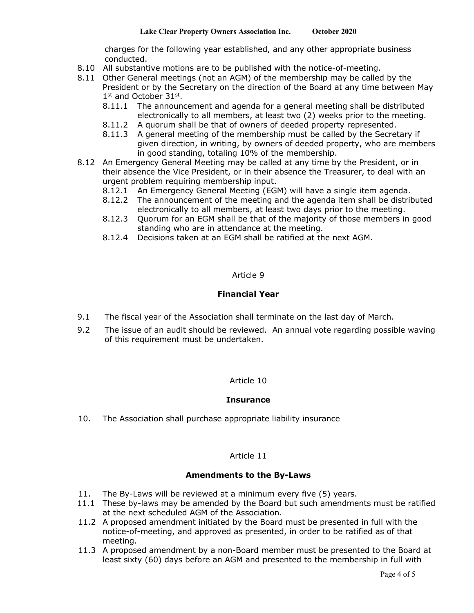charges for the following year established, and any other appropriate business conducted.

- 8.10 All substantive motions are to be published with the notice-of-meeting.
- 8.11 Other General meetings (not an AGM) of the membership may be called by the President or by the Secretary on the direction of the Board at any time between May  $1<sup>st</sup>$  and October 31 $<sup>st</sup>$ .</sup>
	- 8.11.1 The announcement and agenda for a general meeting shall be distributed electronically to all members, at least two (2) weeks prior to the meeting.
	- 8.11.2 A quorum shall be that of owners of deeded property represented.
	- 8.11.3 A general meeting of the membership must be called by the Secretary if given direction, in writing, by owners of deeded property, who are members in good standing, totaling 10% of the membership.
- 8.12 An Emergency General Meeting may be called at any time by the President, or in their absence the Vice President, or in their absence the Treasurer, to deal with an urgent problem requiring membership input.
	- 8.12.1 An Emergency General Meeting (EGM) will have a single item agenda.
	- 8.12.2 The announcement of the meeting and the agenda item shall be distributed electronically to all members, at least two days prior to the meeting.
	- 8.12.3 Quorum for an EGM shall be that of the majority of those members in good standing who are in attendance at the meeting.
	- 8.12.4 Decisions taken at an EGM shall be ratified at the next AGM.

# Article 9

# **Financial Year**

- 9.1 The fiscal year of the Association shall terminate on the last day of March.
- 9.2 The issue of an audit should be reviewed. An annual vote regarding possible waving of this requirement must be undertaken.

### Article 10

### **Insurance**

10. The Association shall purchase appropriate liability insurance

### Article 11

### **Amendments to the By-Laws**

- 11. The By-Laws will be reviewed at a minimum every five (5) years.
- 11.1 These by-laws may be amended by the Board but such amendments must be ratified at the next scheduled AGM of the Association.
- 11.2 A proposed amendment initiated by the Board must be presented in full with the notice-of-meeting, and approved as presented, in order to be ratified as of that meeting.
- 11.3 A proposed amendment by a non-Board member must be presented to the Board at least sixty (60) days before an AGM and presented to the membership in full with